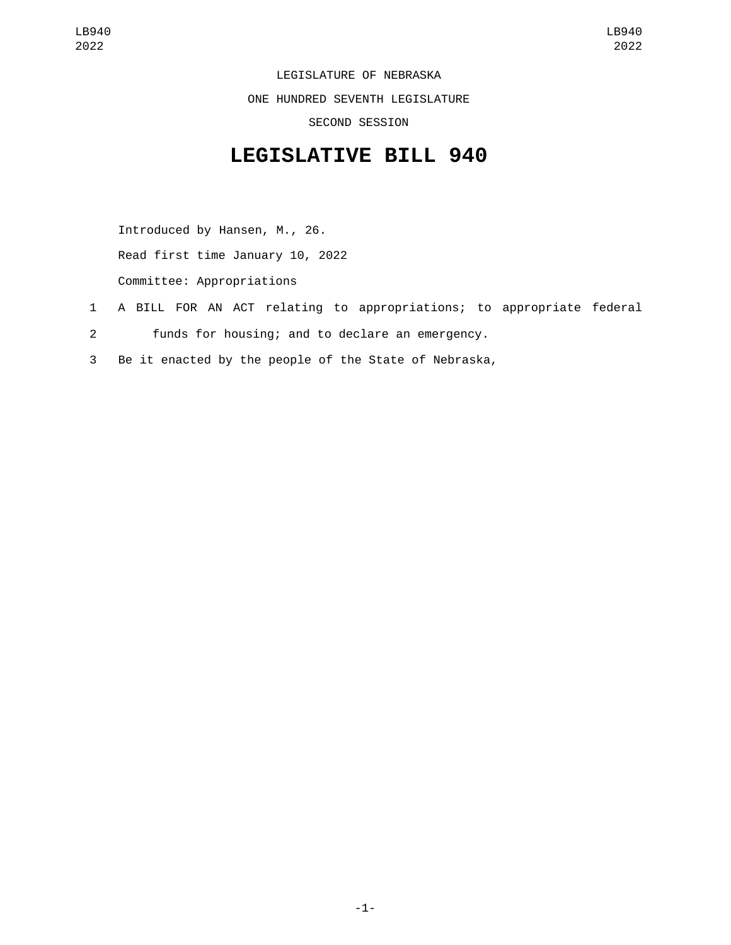LEGISLATURE OF NEBRASKA ONE HUNDRED SEVENTH LEGISLATURE SECOND SESSION

## **LEGISLATIVE BILL 940**

Introduced by Hansen, M., 26. Read first time January 10, 2022

Committee: Appropriations

- 1 A BILL FOR AN ACT relating to appropriations; to appropriate federal
- 2 funds for housing; and to declare an emergency.
- 3 Be it enacted by the people of the State of Nebraska,